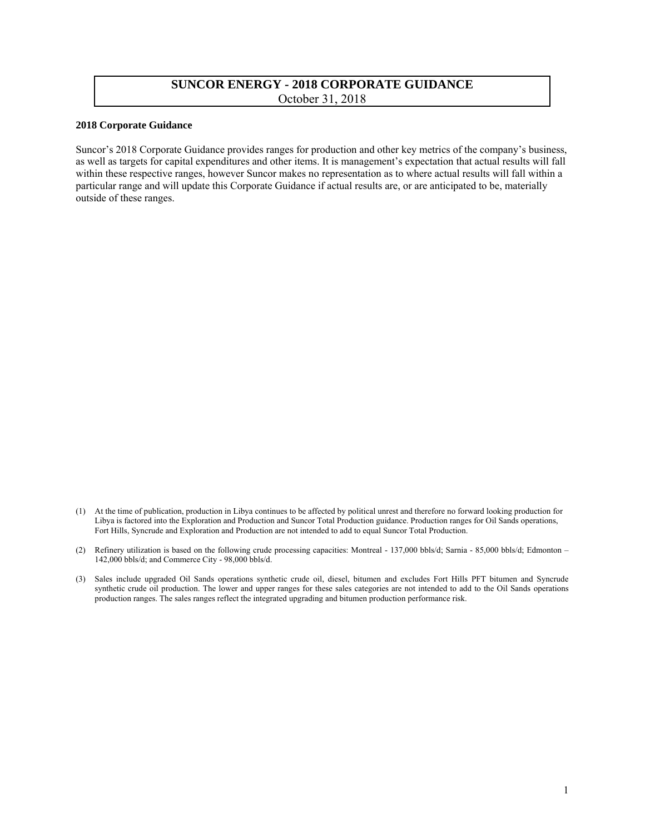## **SUNCOR ENERGY - 2018 CORPORATE GUIDANCE**  October 31, 2018

## **2018 Corporate Guidance**

Suncor's 2018 Corporate Guidance provides ranges for production and other key metrics of the company's business, as well as targets for capital expenditures and other items. It is management's expectation that actual results will fall within these respective ranges, however Suncor makes no representation as to where actual results will fall within a particular range and will update this Corporate Guidance if actual results are, or are anticipated to be, materially outside of these ranges.

<sup>(1)</sup> At the time of publication, production in Libya continues to be affected by political unrest and therefore no forward looking production for Libya is factored into the Exploration and Production and Suncor Total Production guidance. Production ranges for Oil Sands operations, Fort Hills, Syncrude and Exploration and Production are not intended to add to equal Suncor Total Production.

<sup>(2)</sup> Refinery utilization is based on the following crude processing capacities: Montreal - 137,000 bbls/d; Sarnia - 85,000 bbls/d; Edmonton – 142,000 bbls/d; and Commerce City - 98,000 bbls/d.

<sup>(3)</sup> Sales include upgraded Oil Sands operations synthetic crude oil, diesel, bitumen and excludes Fort Hills PFT bitumen and Syncrude synthetic crude oil production. The lower and upper ranges for these sales categories are not intended to add to the Oil Sands operations production ranges. The sales ranges reflect the integrated upgrading and bitumen production performance risk.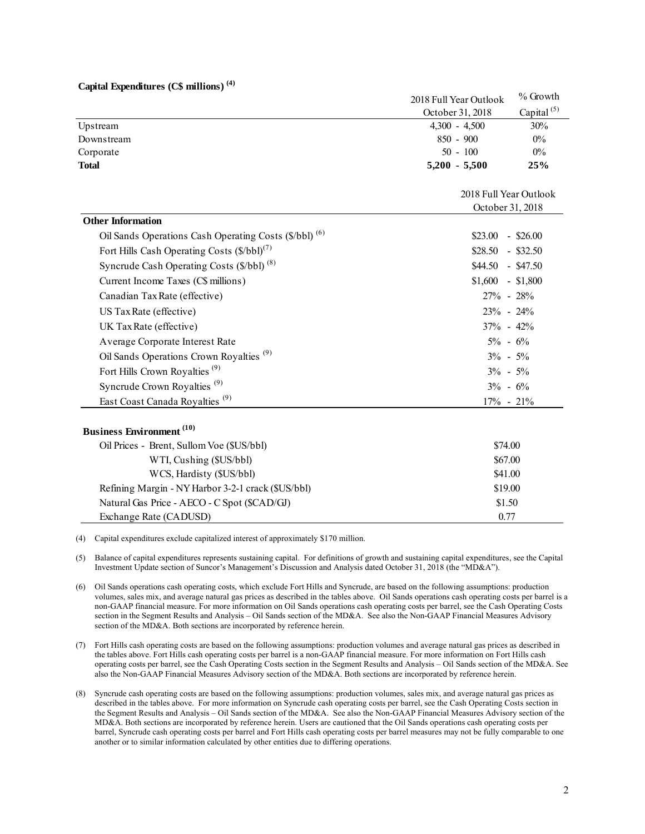| Capital Expenditures $(C\$ millions) <sup>(4)</sup>               |                                            |                        |
|-------------------------------------------------------------------|--------------------------------------------|------------------------|
|                                                                   | 2018 Full Year Outlook                     | $\%$ Growth            |
|                                                                   | October 31, 2018                           | Capital <sup>(5)</sup> |
| Upstream                                                          | $4,300 - 4,500$                            | 30%                    |
| Downstream                                                        | 850 - 900                                  | $0\%$                  |
| Corporate                                                         | $50 - 100$                                 | $0\%$                  |
| <b>Total</b>                                                      | $5,200 - 5,500$                            | 25%                    |
|                                                                   | 2018 Full Year Outlook<br>October 31, 2018 |                        |
|                                                                   |                                            |                        |
| <b>Other Information</b>                                          |                                            |                        |
| Oil Sands Operations Cash Operating Costs (\$/bbl) <sup>(6)</sup> | $$23.00$ - \$26.00                         |                        |
| Fort Hills Cash Operating Costs $(\frac{6}{bbl})^{(7)}$           | $$28.50$ - \$32.50                         |                        |
| Syncrude Cash Operating Costs (\$/bbl) <sup>(8)</sup>             | $$44.50$ - \$47.50                         |                        |
| Current Income Taxes (C\$ millions)                               | $$1,600$ - \$1,800                         |                        |
| Canadian Tax Rate (effective)                                     | 27% - 28%                                  |                        |
| US Tax Rate (effective)                                           | $23\% - 24\%$                              |                        |
| UK Tax Rate (effective)                                           | $37\% - 42\%$                              |                        |
| Average Corporate Interest Rate                                   | $5\% - 6\%$                                |                        |
| Oil Sands Operations Crown Royalties <sup>(9)</sup>               | $3\% - 5\%$                                |                        |
| Fort Hills Crown Royalties <sup>(9)</sup>                         | $3\% - 5\%$                                |                        |
| Syncrude Crown Royalties <sup>(9)</sup>                           | $3\% - 6\%$                                |                        |
| East Coast Canada Royalties <sup>(9)</sup>                        | $17\% - 21\%$                              |                        |
| <b>Business Environment</b> (10)                                  |                                            |                        |
| Oil Prices - Brent, Sullom Voe (\$US/bbl)                         | \$74.00                                    |                        |
| WTI, Cushing (\$US/bbl)                                           | \$67.00                                    |                        |
| WCS, Hardisty (\$US/bbl)                                          | \$41.00                                    |                        |
| Refining Margin - NY Harbor 3-2-1 crack (\$US/bbl)                | \$19.00                                    |                        |
| Natural Gas Price - AECO - C Spot (\$CAD/GJ)                      | \$1.50                                     |                        |
| Exchange Rate (CADUSD)                                            | 0.77                                       |                        |

(4) Capital expenditures exclude capitalized interest of approximately \$170 million.

(5) Balance of capital expenditures represents sustaining capital. For definitions of growth and sustaining capital expenditures, see the Capital Investment Update section of Suncor's Management's Discussion and Analysis dated October 31, 2018 (the "MD&A").

- (6) Oil Sands operations cash operating costs, which exclude Fort Hills and Syncrude, are based on the following assumptions: production volumes, sales mix, and average natural gas prices as described in the tables above. Oil Sands operations cash operating costs per barrel is a non-GAAP financial measure. For more information on Oil Sands operations cash operating costs per barrel, see the Cash Operating Costs section in the Segment Results and Analysis – Oil Sands section of the MD&A. See also the Non-GAAP Financial Measures Advisory section of the MD&A. Both sections are incorporated by reference herein.
- (7) Fort Hills cash operating costs are based on the following assumptions: production volumes and average natural gas prices as described in the tables above. Fort Hills cash operating costs per barrel is a non-GAAP financial measure. For more information on Fort Hills cash operating costs per barrel, see the Cash Operating Costs section in the Segment Results and Analysis – Oil Sands section of the MD&A. See also the Non-GAAP Financial Measures Advisory section of the MD&A. Both sections are incorporated by reference herein.
- (8) Syncrude cash operating costs are based on the following assumptions: production volumes, sales mix, and average natural gas prices as described in the tables above. For more information on Syncrude cash operating costs per barrel, see the Cash Operating Costs section in the Segment Results and Analysis – Oil Sands section of the MD&A. See also the Non-GAAP Financial Measures Advisory section of the MD&A. Both sections are incorporated by reference herein. Users are cautioned that the Oil Sands operations cash operating costs per barrel, Syncrude cash operating costs per barrel and Fort Hills cash operating costs per barrel measures may not be fully comparable to one another or to similar information calculated by other entities due to differing operations.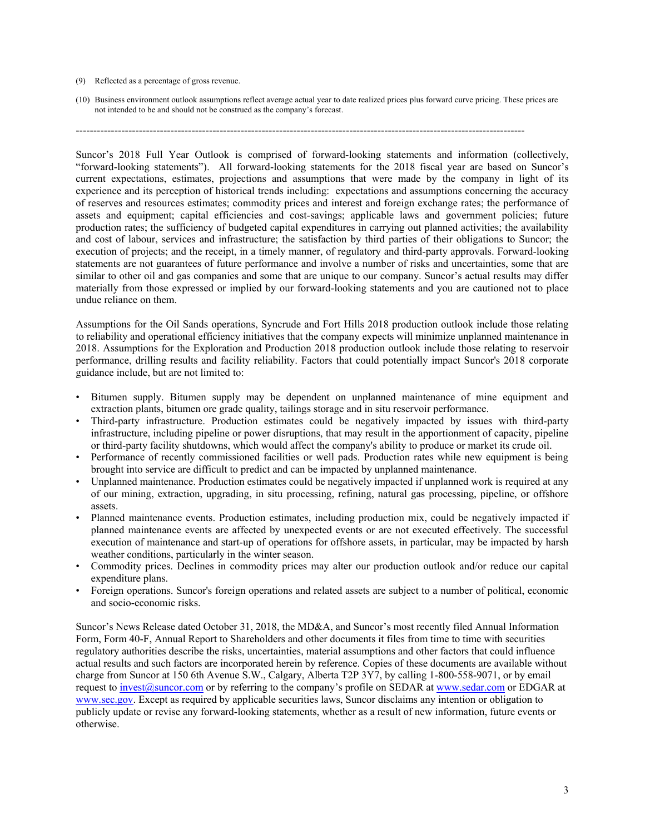## (9) Reflected as a percentage of gross revenue.

(10) Business environment outlook assumptions reflect average actual year to date realized prices plus forward curve pricing. These prices are not intended to be and should not be construed as the company's forecast.

--------------------------------------------------------------------------------------------------------------------------------

Suncor's 2018 Full Year Outlook is comprised of forward-looking statements and information (collectively, "forward-looking statements"). All forward-looking statements for the 2018 fiscal year are based on Suncor's current expectations, estimates, projections and assumptions that were made by the company in light of its experience and its perception of historical trends including: expectations and assumptions concerning the accuracy of reserves and resources estimates; commodity prices and interest and foreign exchange rates; the performance of assets and equipment; capital efficiencies and cost-savings; applicable laws and government policies; future production rates; the sufficiency of budgeted capital expenditures in carrying out planned activities; the availability and cost of labour, services and infrastructure; the satisfaction by third parties of their obligations to Suncor; the execution of projects; and the receipt, in a timely manner, of regulatory and third-party approvals. Forward-looking statements are not guarantees of future performance and involve a number of risks and uncertainties, some that are similar to other oil and gas companies and some that are unique to our company. Suncor's actual results may differ materially from those expressed or implied by our forward-looking statements and you are cautioned not to place undue reliance on them.

Assumptions for the Oil Sands operations, Syncrude and Fort Hills 2018 production outlook include those relating to reliability and operational efficiency initiatives that the company expects will minimize unplanned maintenance in 2018. Assumptions for the Exploration and Production 2018 production outlook include those relating to reservoir performance, drilling results and facility reliability. Factors that could potentially impact Suncor's 2018 corporate guidance include, but are not limited to:

- Bitumen supply. Bitumen supply may be dependent on unplanned maintenance of mine equipment and extraction plants, bitumen ore grade quality, tailings storage and in situ reservoir performance.
- Third-party infrastructure. Production estimates could be negatively impacted by issues with third-party infrastructure, including pipeline or power disruptions, that may result in the apportionment of capacity, pipeline or third-party facility shutdowns, which would affect the company's ability to produce or market its crude oil.
- Performance of recently commissioned facilities or well pads. Production rates while new equipment is being brought into service are difficult to predict and can be impacted by unplanned maintenance.
- Unplanned maintenance. Production estimates could be negatively impacted if unplanned work is required at any of our mining, extraction, upgrading, in situ processing, refining, natural gas processing, pipeline, or offshore assets.
- Planned maintenance events. Production estimates, including production mix, could be negatively impacted if planned maintenance events are affected by unexpected events or are not executed effectively. The successful execution of maintenance and start-up of operations for offshore assets, in particular, may be impacted by harsh weather conditions, particularly in the winter season.
- Commodity prices. Declines in commodity prices may alter our production outlook and/or reduce our capital expenditure plans.
- Foreign operations. Suncor's foreign operations and related assets are subject to a number of political, economic and socio-economic risks.

Suncor's News Release dated October 31, 2018, the MD&A, and Suncor's most recently filed Annual Information Form, Form 40-F, Annual Report to Shareholders and other documents it files from time to time with securities regulatory authorities describe the risks, uncertainties, material assumptions and other factors that could influence actual results and such factors are incorporated herein by reference. Copies of these documents are available without charge from Suncor at 150 6th Avenue S.W., Calgary, Alberta T2P 3Y7, by calling 1-800-558-9071, or by email request t[o invest@suncor.com](mailto:invest@suncor.com) or by referring to the company's profile on SEDAR at [www.sedar.com o](http://www.sedar.com/)r EDGAR at [www.sec.gov.](http://www.sec.gov/) Except as required by applicable securities laws, Suncor disclaims any intention or obligation to publicly update or revise any forward-looking statements, whether as a result of new information, future events or otherwise.